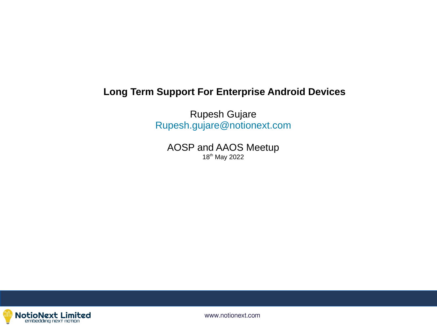## **Long Term Support For Enterprise Android Devices**

Rupesh Gujare [Rupesh.gujare@notionext.com](mailto:Rupesh.gujare@notionext.com)

AOSP and AAOS Meetup 18<sup>th</sup> May 2022

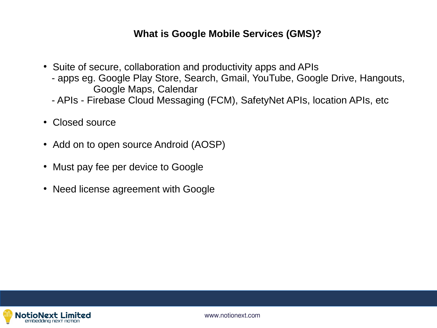## **What is Google Mobile Services (GMS)?**

- Suite of secure, collaboration and productivity apps and APIs
	- apps eg. Google Play Store, Search, Gmail, YouTube, Google Drive, Hangouts, Google Maps, Calendar
	- APIs Firebase Cloud Messaging (FCM), SafetyNet APIs, location APIs, etc
- Closed source
- Add on to open source Android (AOSP)
- Must pay fee per device to Google
- Need license agreement with Google

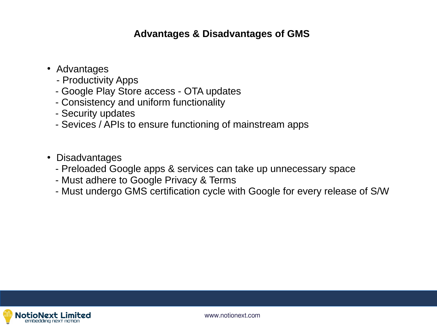## **Advantages & Disadvantages of GMS**

- Advantages
	- Productivity Apps
	- Google Play Store access OTA updates
	- Consistency and uniform functionality
	- Security updates
	- Sevices / APIs to ensure functioning of mainstream apps
- Disadvantages
	- Preloaded Google apps & services can take up unnecessary space
	- Must adhere to Google Privacy & Terms
	- Must undergo GMS certification cycle with Google for every release of S/W

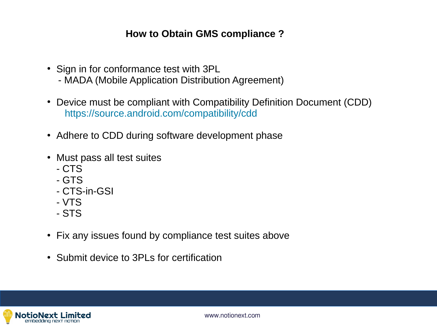## **How to Obtain GMS compliance ?**

- Sign in for conformance test with 3PL
	- MADA (Mobile Application Distribution Agreement)
- Device must be compliant with Compatibility Definition Document (CDD) <https://source.android.com/compatibility/cdd>
- Adhere to CDD during software development phase
- Must pass all test suites
	- CTS
	- GTS
	- CTS-in-GSI
	- VTS
	- STS
- Fix any issues found by compliance test suites above
- Submit device to 3PLs for certification

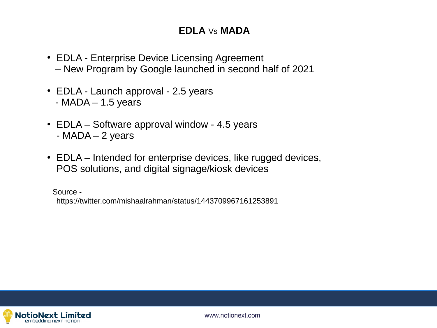## **EDLA** Vs **MADA**

- EDLA Enterprise Device Licensing Agreement – New Program by Google launched in second half of 2021
- EDLA Launch approval 2.5 years  $-$  MADA  $-$  1.5 years
- EDLA Software approval window 4.5 years - MADA – 2 years
- EDLA Intended for enterprise devices, like rugged devices, POS solutions, and digital signage/kiosk devices

 Source https://twitter.com/mishaalrahman/status/1443709967161253891

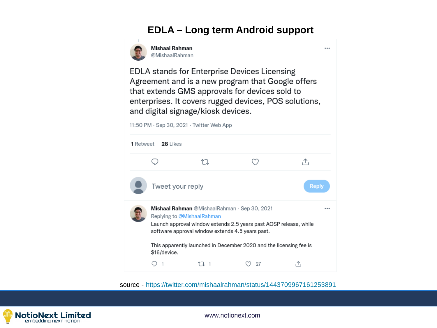## **EDLA – Long term Android support**

 $\ddotsc$ 



**Mishaal Rahman** @MishaalRahman

**EDLA** stands for Enterprise Devices Licensing Agreement and is a new program that Google offers that extends GMS approvals for devices sold to enterprises. It covers rugged devices, POS solutions, and digital signage/kiosk devices.



source - <https://twitter.com/mishaalrahman/status/1443709967161253891>

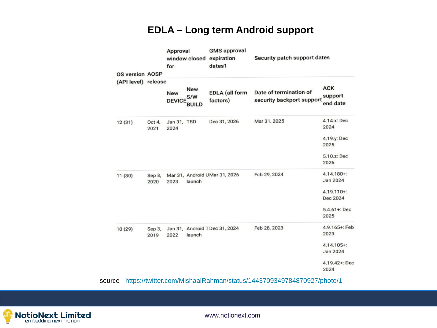## **EDLA – Long term Android support**

| <b>OS version AOSP</b><br>(API level) release |                | Approval<br>window closed expiration<br>for |              | <b>GMS</b> approval<br>dates1     | Security patch support dates                        |                               |
|-----------------------------------------------|----------------|---------------------------------------------|--------------|-----------------------------------|-----------------------------------------------------|-------------------------------|
|                                               |                | <b>New</b><br><b>DEVICE</b>                 | New<br>S/W   | <b>EDLA</b> (all form<br>factors) | Date of termination of<br>security backport support | <b>ACK</b><br>support         |
|                                               |                | Jan 31, TBD                                 | <b>BUILD</b> | Dec 31, 2026                      | Mar 31, 2025                                        | end date<br>4.14.x: Dec       |
| 12(31)                                        | Oct 4,<br>2021 | 2024                                        |              |                                   |                                                     | 2024                          |
|                                               |                |                                             |              |                                   |                                                     | 4.19.y: Dec<br>2025           |
|                                               |                |                                             |              |                                   |                                                     | 5.10.z: Dec<br>2026           |
| 11(30)                                        | Sep 8,<br>2020 | 2023                                        | launch       | Mar 31, Android UMar 31, 2026     | Feb 29, 2024                                        | 4.14.180+:<br><b>Jan 2024</b> |
|                                               |                |                                             |              |                                   |                                                     | 4.19.110+:<br>Dec 2024        |
|                                               |                |                                             |              |                                   |                                                     | $5.4.61 +: Dec$<br>2025       |
| 10(29)                                        | Sep 3,<br>2019 | 2022                                        | launch       | Jan 31, Android TDec 31, 2024     | Feb 28, 2023                                        | 4.9.165+: Feb<br>2023         |
|                                               |                |                                             |              |                                   |                                                     | 4.14.105+:<br>Jan 2024        |
|                                               |                |                                             |              |                                   |                                                     | 4.19.42+: Dec<br>2024         |

NotioNext Limited